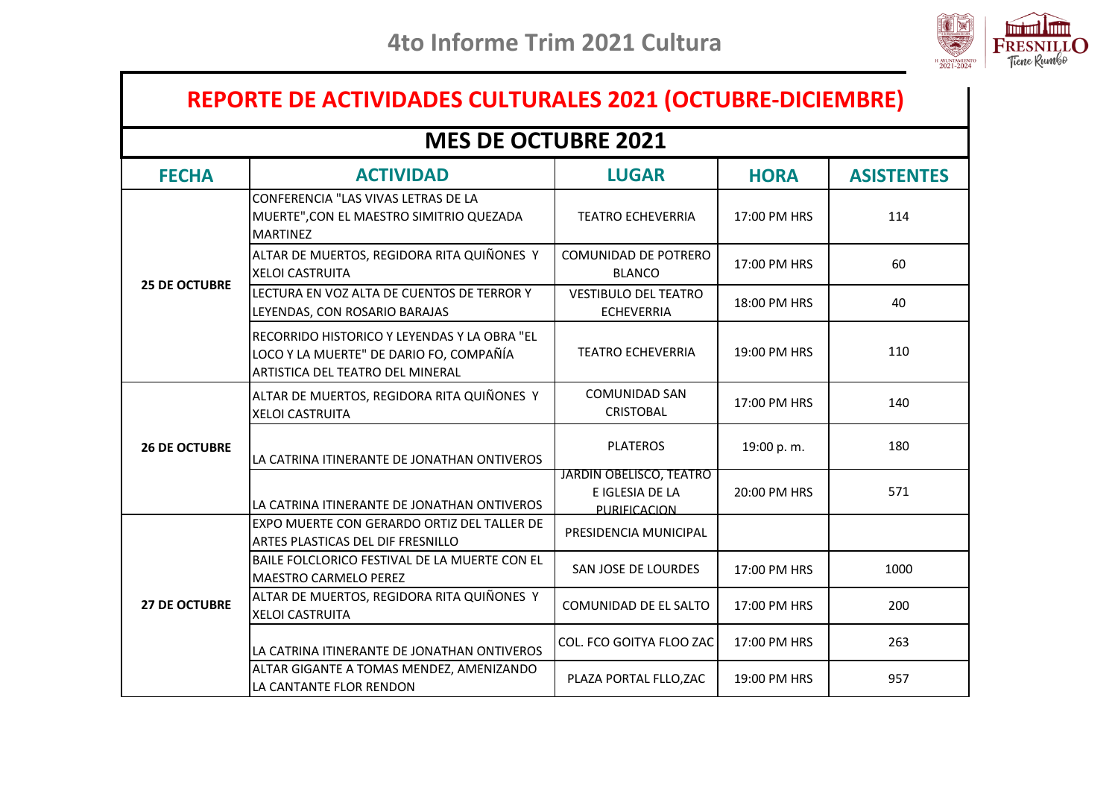

## **REPORTE DE ACTIVIDADES CULTURALES 2021 (OCTUBRE-DICIEMBRE)**

## **MES DE OCTUBRE 2021**

| <b>FECHA</b>         | <b>ACTIVIDAD</b>                                                                                                            | <b>LUGAR</b>                                               | <b>HORA</b>  | <b>ASISTENTES</b> |
|----------------------|-----------------------------------------------------------------------------------------------------------------------------|------------------------------------------------------------|--------------|-------------------|
|                      | CONFERENCIA "LAS VIVAS LETRAS DE LA<br>MUERTE", CON EL MAESTRO SIMITRIO QUEZADA<br><b>MARTINEZ</b>                          | <b>TEATRO ECHEVERRIA</b>                                   | 17:00 PM HRS | 114               |
|                      | ALTAR DE MUERTOS, REGIDORA RITA QUIÑONES Y<br><b>XELOI CASTRUITA</b>                                                        | <b>COMUNIDAD DE POTRERO</b><br><b>BLANCO</b>               | 17:00 PM HRS | 60                |
| <b>25 DE OCTUBRE</b> | LECTURA EN VOZ ALTA DE CUENTOS DE TERROR Y<br>LEYENDAS, CON ROSARIO BARAJAS                                                 | <b>VESTIBULO DEL TEATRO</b><br><b>ECHEVERRIA</b>           | 18:00 PM HRS | 40                |
|                      | RECORRIDO HISTORICO Y LEYENDAS Y LA OBRA "EL<br>LOCO Y LA MUERTE" DE DARIO FO, COMPAÑÍA<br>ARTISTICA DEL TEATRO DEL MINERAL | <b>TEATRO ECHEVERRIA</b>                                   | 19:00 PM HRS | 110               |
|                      | ALTAR DE MUERTOS, REGIDORA RITA QUIÑONES Y<br><b>XELOI CASTRUITA</b>                                                        | <b>COMUNIDAD SAN</b><br><b>CRISTOBAL</b>                   | 17:00 PM HRS | 140               |
| <b>26 DE OCTUBRE</b> | LA CATRINA ITINERANTE DE JONATHAN ONTIVEROS                                                                                 | <b>PLATEROS</b>                                            | 19:00 p.m.   | 180               |
|                      | LA CATRINA ITINERANTE DE JONATHAN ONTIVEROS                                                                                 | JARDIN OBELISCO, TEATRO<br>E IGLESIA DE LA<br>PURIFICACION | 20:00 PM HRS | 571               |
|                      | EXPO MUERTE CON GERARDO ORTIZ DEL TALLER DE<br>ARTES PLASTICAS DEL DIF FRESNILLO                                            | PRESIDENCIA MUNICIPAL                                      |              |                   |
| <b>27 DE OCTUBRE</b> | BAILE FOLCLORICO FESTIVAL DE LA MUERTE CON EL<br><b>MAESTRO CARMELO PEREZ</b>                                               | SAN JOSE DE LOURDES                                        | 17:00 PM HRS | 1000              |
|                      | ALTAR DE MUERTOS, REGIDORA RITA QUIÑONES Y<br><b>XELOI CASTRUITA</b>                                                        | COMUNIDAD DE EL SALTO                                      | 17:00 PM HRS | 200               |
|                      | LA CATRINA ITINERANTE DE JONATHAN ONTIVEROS                                                                                 | COL. FCO GOITYA FLOO ZAC                                   | 17:00 PM HRS | 263               |
|                      | ALTAR GIGANTE A TOMAS MENDEZ, AMENIZANDO<br>LA CANTANTE FLOR RENDON                                                         | PLAZA PORTAL FLLO, ZAC                                     | 19:00 PM HRS | 957               |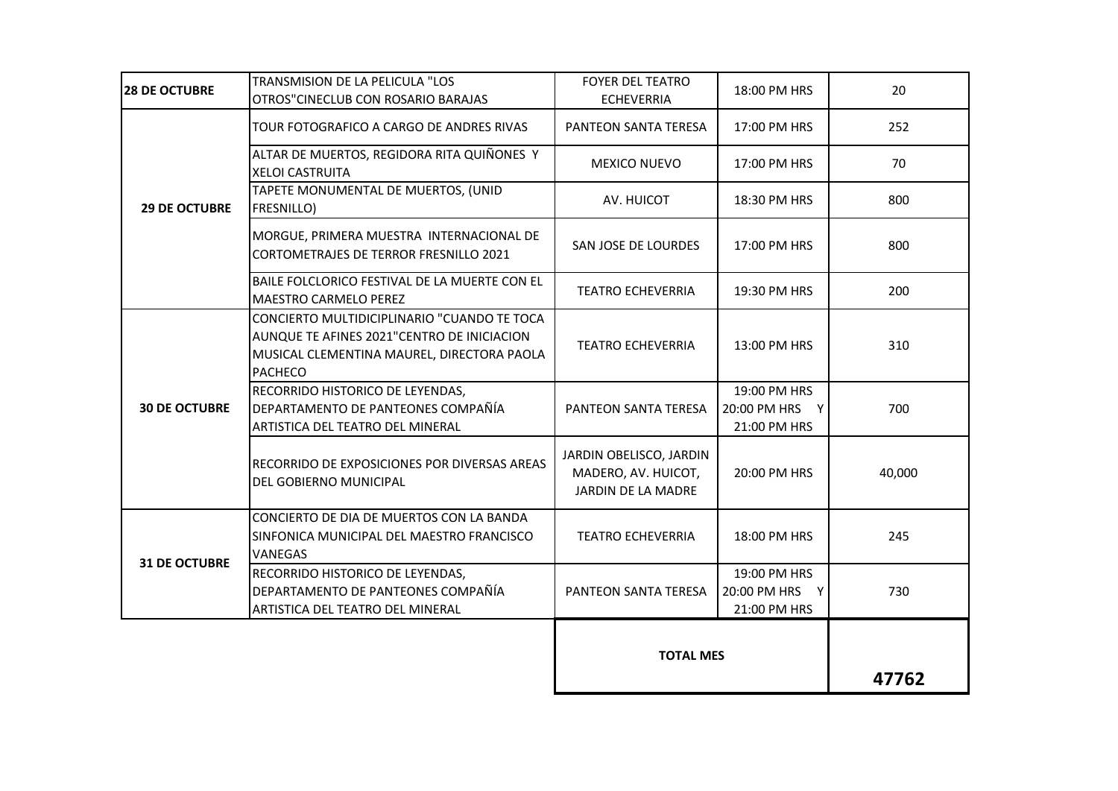|                      |                                                                                                                                                           | <b>TOTAL MES</b>                                                     |                                                | 47762  |
|----------------------|-----------------------------------------------------------------------------------------------------------------------------------------------------------|----------------------------------------------------------------------|------------------------------------------------|--------|
|                      | ARTISTICA DEL TEATRO DEL MINERAL                                                                                                                          |                                                                      | 21:00 PM HRS                                   |        |
| <b>31 DE OCTUBRE</b> | RECORRIDO HISTORICO DE LEYENDAS,<br>DEPARTAMENTO DE PANTEONES COMPAÑÍA                                                                                    | PANTEON SANTA TERESA                                                 | 19:00 PM HRS<br>20:00 PM HRS Y                 | 730    |
|                      | CONCIERTO DE DIA DE MUERTOS CON LA BANDA<br>SINFONICA MUNICIPAL DEL MAESTRO FRANCISCO<br><b>VANEGAS</b>                                                   | <b>TEATRO ECHEVERRIA</b>                                             | 18:00 PM HRS                                   | 245    |
| <b>30 DE OCTUBRE</b> | RECORRIDO DE EXPOSICIONES POR DIVERSAS AREAS<br>DEL GOBIERNO MUNICIPAL                                                                                    | JARDIN OBELISCO, JARDIN<br>MADERO, AV. HUICOT,<br>JARDIN DE LA MADRE | 20:00 PM HRS                                   | 40,000 |
|                      | RECORRIDO HISTORICO DE LEYENDAS,<br>DEPARTAMENTO DE PANTEONES COMPAÑÍA<br>ARTISTICA DEL TEATRO DEL MINERAL                                                | PANTEON SANTA TERESA                                                 | 19:00 PM HRS<br>20:00 PM HRS Y<br>21:00 PM HRS | 700    |
|                      | CONCIERTO MULTIDICIPLINARIO "CUANDO TE TOCA<br>AUNQUE TE AFINES 2021"CENTRO DE INICIACION<br>MUSICAL CLEMENTINA MAUREL, DIRECTORA PAOLA<br><b>PACHECO</b> | <b>TEATRO ECHEVERRIA</b>                                             | 13:00 PM HRS                                   | 310    |
|                      | BAILE FOLCLORICO FESTIVAL DE LA MUERTE CON EL<br><b>MAESTRO CARMELO PEREZ</b>                                                                             | <b>TEATRO ECHEVERRIA</b>                                             | 19:30 PM HRS                                   | 200    |
|                      | MORGUE, PRIMERA MUESTRA INTERNACIONAL DE<br>CORTOMETRAJES DE TERROR FRESNILLO 2021                                                                        | SAN JOSE DE LOURDES                                                  | 17:00 PM HRS                                   | 800    |
| <b>29 DE OCTUBRE</b> | TAPETE MONUMENTAL DE MUERTOS, (UNID<br>FRESNILLO)                                                                                                         | AV. HUICOT                                                           | 18:30 PM HRS                                   | 800    |
|                      | ALTAR DE MUERTOS, REGIDORA RITA QUIÑONES Y<br><b>XELOI CASTRUITA</b>                                                                                      | MEXICO NUEVO                                                         | 17:00 PM HRS                                   | 70     |
|                      | TOUR FOTOGRAFICO A CARGO DE ANDRES RIVAS                                                                                                                  | PANTEON SANTA TERESA                                                 | 17:00 PM HRS                                   | 252    |
| <b>28 DE OCTUBRE</b> | TRANSMISION DE LA PELICULA "LOS<br>OTROS"CINECLUB CON ROSARIO BARAJAS                                                                                     | <b>FOYER DEL TEATRO</b><br><b>ECHEVERRIA</b>                         | 18:00 PM HRS                                   | 20     |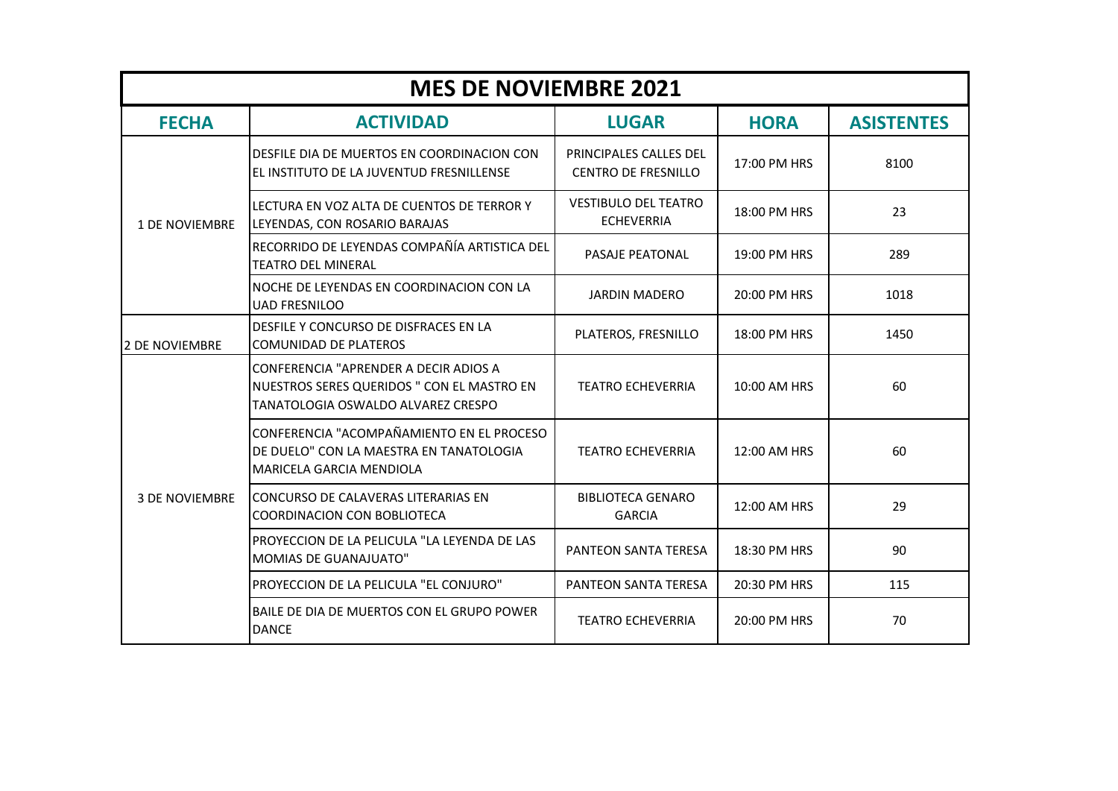| <b>MES DE NOVIEMBRE 2021</b> |                                                                                                                           |                                                      |              |                   |
|------------------------------|---------------------------------------------------------------------------------------------------------------------------|------------------------------------------------------|--------------|-------------------|
| <b>FECHA</b>                 | <b>ACTIVIDAD</b>                                                                                                          | <b>LUGAR</b>                                         | <b>HORA</b>  | <b>ASISTENTES</b> |
|                              | DESFILE DIA DE MUERTOS EN COORDINACION CON<br>EL INSTITUTO DE LA JUVENTUD FRESNILLENSE                                    | PRINCIPALES CALLES DEL<br><b>CENTRO DE FRESNILLO</b> | 17:00 PM HRS | 8100              |
| <b>1 DE NOVIEMBRE</b>        | LECTURA EN VOZ ALTA DE CUENTOS DE TERROR Y<br>LEYENDAS, CON ROSARIO BARAJAS                                               | <b>VESTIBULO DEL TEATRO</b><br><b>ECHEVERRIA</b>     | 18:00 PM HRS | 23                |
|                              | RECORRIDO DE LEYENDAS COMPAÑÍA ARTISTICA DEL<br><b>TEATRO DEL MINERAL</b>                                                 | PASAJE PEATONAL                                      | 19:00 PM HRS | 289               |
|                              | NOCHE DE LEYENDAS EN COORDINACION CON LA<br><b>UAD FRESNILOO</b>                                                          | <b>JARDIN MADERO</b>                                 | 20:00 PM HRS | 1018              |
| <b>2 DE NOVIEMBRE</b>        | DESFILE Y CONCURSO DE DISFRACES EN LA<br><b>COMUNIDAD DE PLATEROS</b>                                                     | PLATEROS, FRESNILLO                                  | 18:00 PM HRS | 1450              |
| <b>3 DE NOVIEMBRE</b>        | CONFERENCIA "APRENDER A DECIR ADIOS A<br>NUESTROS SERES QUERIDOS " CON EL MASTRO EN<br>TANATOLOGIA OSWALDO ALVAREZ CRESPO | <b>TEATRO ECHEVERRIA</b>                             | 10:00 AM HRS | 60                |
|                              | CONFERENCIA "ACOMPAÑAMIENTO EN EL PROCESO<br>DE DUELO" CON LA MAESTRA EN TANATOLOGIA<br>MARICELA GARCIA MENDIOLA          | <b>TEATRO ECHEVERRIA</b>                             | 12:00 AM HRS | 60                |
|                              | CONCURSO DE CALAVERAS LITERARIAS EN<br>COORDINACION CON BOBLIOTECA                                                        | <b>BIBLIOTECA GENARO</b><br><b>GARCIA</b>            | 12:00 AM HRS | 29                |
|                              | PROYECCION DE LA PELICULA "LA LEYENDA DE LAS<br><b>MOMIAS DE GUANAJUATO"</b>                                              | PANTEON SANTA TERESA                                 | 18:30 PM HRS | 90                |
|                              | PROYECCION DE LA PELICULA "EL CONJURO"                                                                                    | <b>PANTEON SANTA TERESA</b>                          | 20:30 PM HRS | 115               |
|                              | BAILE DE DIA DE MUERTOS CON EL GRUPO POWER<br><b>DANCE</b>                                                                | <b>TEATRO ECHEVERRIA</b>                             | 20:00 PM HRS | 70                |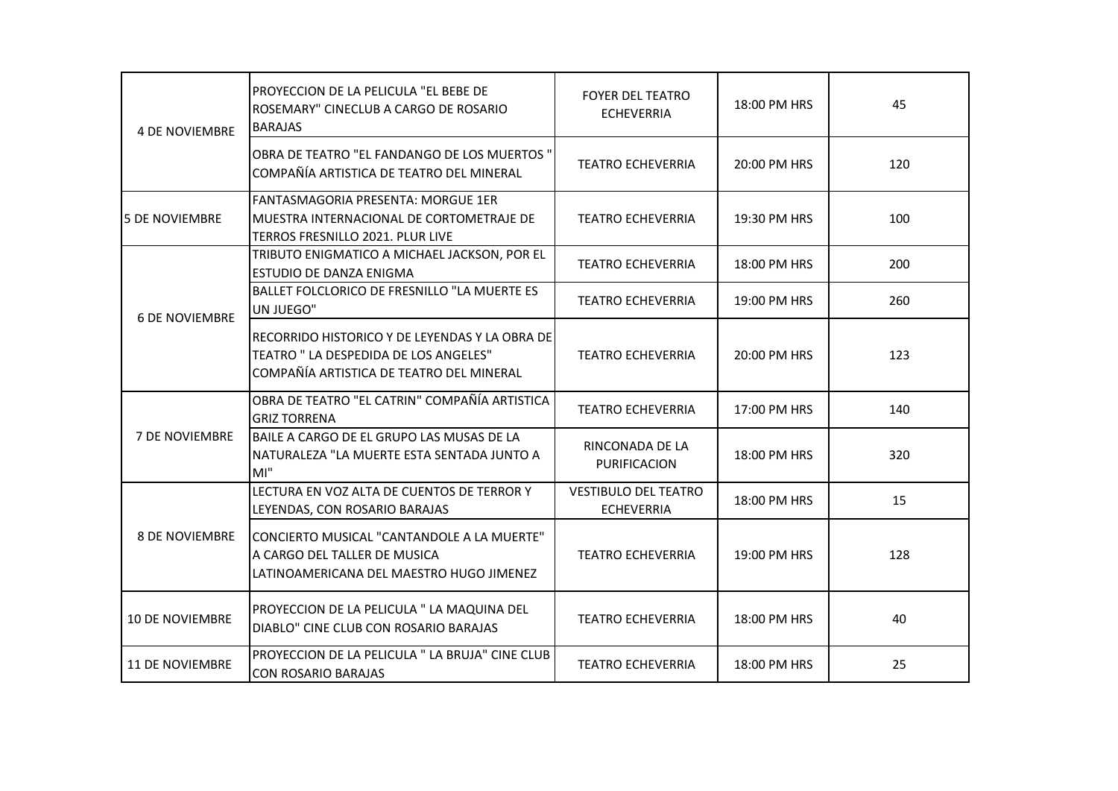| <b>4 DE NOVIEMBRE</b>  | PROYECCION DE LA PELICULA "EL BEBE DE<br>ROSEMARY" CINECLUB A CARGO DE ROSARIO<br><b>BARAJAS</b>                                    | <b>FOYER DEL TEATRO</b><br><b>ECHEVERRIA</b>     | 18:00 PM HRS | 45  |
|------------------------|-------------------------------------------------------------------------------------------------------------------------------------|--------------------------------------------------|--------------|-----|
|                        | OBRA DE TEATRO "EL FANDANGO DE LOS MUERTOS"<br>COMPAÑÍA ARTISTICA DE TEATRO DEL MINERAL                                             | <b>TEATRO ECHEVERRIA</b>                         | 20:00 PM HRS | 120 |
| <b>5 DE NOVIEMBRE</b>  | FANTASMAGORIA PRESENTA: MORGUE 1ER<br>MUESTRA INTERNACIONAL DE CORTOMETRAJE DE<br>TERROS FRESNILLO 2021. PLUR LIVE                  | <b>TEATRO ECHEVERRIA</b>                         | 19:30 PM HRS | 100 |
|                        | TRIBUTO ENIGMATICO A MICHAEL JACKSON, POR EL<br>ESTUDIO DE DANZA ENIGMA                                                             | <b>TEATRO ECHEVERRIA</b>                         | 18:00 PM HRS | 200 |
|                        | BALLET FOLCLORICO DE FRESNILLO "LA MUERTE ES<br>UN JUEGO"                                                                           | <b>TEATRO ECHEVERRIA</b>                         | 19:00 PM HRS | 260 |
| <b>6 DE NOVIEMBRE</b>  | RECORRIDO HISTORICO Y DE LEYENDAS Y LA OBRA DE<br>TEATRO " LA DESPEDIDA DE LOS ANGELES"<br>COMPAÑÍA ARTISTICA DE TEATRO DEL MINERAL | <b>TEATRO ECHEVERRIA</b>                         | 20:00 PM HRS | 123 |
|                        | OBRA DE TEATRO "EL CATRIN" COMPAÑÍA ARTISTICA<br><b>GRIZ TORRENA</b>                                                                | <b>TEATRO ECHEVERRIA</b>                         | 17:00 PM HRS | 140 |
| <b>7 DE NOVIEMBRE</b>  | BAILE A CARGO DE EL GRUPO LAS MUSAS DE LA<br>NATURALEZA "LA MUERTE ESTA SENTADA JUNTO A<br>MI''                                     | RINCONADA DE LA<br>PURIFICACION                  | 18:00 PM HRS | 320 |
|                        | LECTURA EN VOZ ALTA DE CUENTOS DE TERROR Y<br>LEYENDAS, CON ROSARIO BARAJAS                                                         | <b>VESTIBULO DEL TEATRO</b><br><b>ECHEVERRIA</b> | 18:00 PM HRS | 15  |
| <b>8 DE NOVIEMBRE</b>  | CONCIERTO MUSICAL "CANTANDOLE A LA MUERTE"<br>A CARGO DEL TALLER DE MUSICA<br>LATINOAMERICANA DEL MAESTRO HUGO JIMENEZ              | <b>TEATRO ECHEVERRIA</b>                         | 19:00 PM HRS | 128 |
| 10 DE NOVIEMBRE        | PROYECCION DE LA PELICULA " LA MAQUINA DEL<br>DIABLO" CINE CLUB CON ROSARIO BARAJAS                                                 | <b>TEATRO ECHEVERRIA</b>                         | 18:00 PM HRS | 40  |
| <b>11 DE NOVIEMBRE</b> | PROYECCION DE LA PELICULA " LA BRUJA" CINE CLUB<br><b>CON ROSARIO BARAJAS</b>                                                       | <b>TEATRO ECHEVERRIA</b>                         | 18:00 PM HRS | 25  |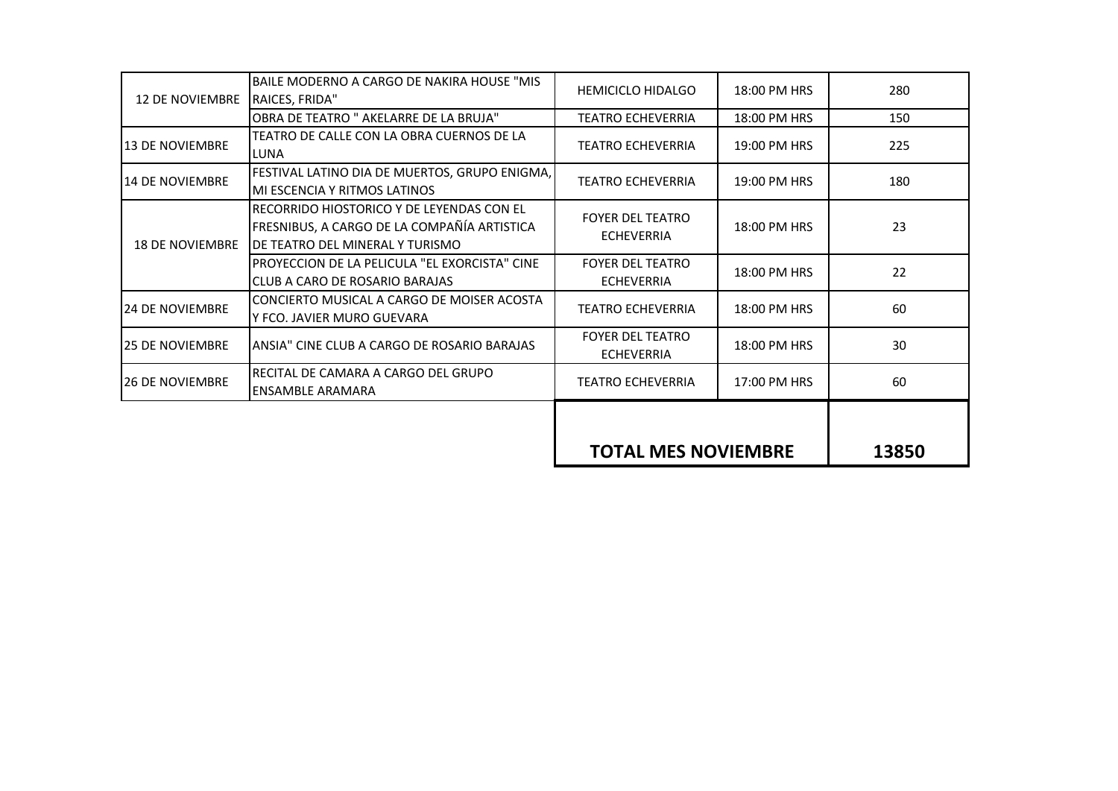|                        |                                                                                                                             | <b>TOTAL MES NOVIEMBRE</b>                   |              | 13850 |
|------------------------|-----------------------------------------------------------------------------------------------------------------------------|----------------------------------------------|--------------|-------|
|                        |                                                                                                                             |                                              |              |       |
| <b>26 DE NOVIEMBRE</b> | RECITAL DE CAMARA A CARGO DEL GRUPO<br><b>ENSAMBLE ARAMARA</b>                                                              | <b>TEATRO ECHEVERRIA</b>                     | 17:00 PM HRS | 60    |
| <b>25 DE NOVIEMBRE</b> | ANSIA" CINE CLUB A CARGO DE ROSARIO BARAJAS                                                                                 | <b>FOYER DEL TEATRO</b><br><b>ECHEVERRIA</b> | 18:00 PM HRS | 30    |
| <b>24 DE NOVIEMBRE</b> | CONCIERTO MUSICAL A CARGO DE MOISER ACOSTA<br>Y FCO. JAVIER MURO GUEVARA                                                    | <b>TEATRO ECHEVERRIA</b>                     | 18:00 PM HRS | 60    |
|                        | PROYECCION DE LA PELICULA "EL EXORCISTA" CINE<br>CLUB A CARO DE ROSARIO BARAJAS                                             | <b>FOYER DEL TEATRO</b><br><b>ECHEVERRIA</b> | 18:00 PM HRS | 22    |
| <b>18 DE NOVIEMBRE</b> | RECORRIDO HIOSTORICO Y DE LEYENDAS CON EL<br>FRESNIBUS, A CARGO DE LA COMPAÑÍA ARTISTICA<br>DE TEATRO DEL MINERAL Y TURISMO | <b>FOYER DEL TEATRO</b><br><b>ECHEVERRIA</b> | 18:00 PM HRS | 23    |
| 14 DE NOVIEMBRE        | FESTIVAL LATINO DIA DE MUERTOS, GRUPO ENIGMA,<br>MI ESCENCIA Y RITMOS LATINOS                                               | <b>TEATRO ECHEVERRIA</b>                     | 19:00 PM HRS | 180   |
| 13 DE NOVIEMBRE        | TEATRO DE CALLE CON LA OBRA CUERNOS DE LA<br>LUNA                                                                           | <b>TEATRO ECHEVERRIA</b>                     | 19:00 PM HRS | 225   |
|                        | OBRA DE TEATRO " AKELARRE DE LA BRUJA"                                                                                      | <b>TEATRO ECHEVERRIA</b>                     | 18:00 PM HRS | 150   |
| <b>12 DE NOVIEMBRE</b> | BAILE MODERNO A CARGO DE NAKIRA HOUSE "MIS<br>RAICES, FRIDA"                                                                | <b>HEMICICLO HIDALGO</b>                     | 18:00 PM HRS | 280   |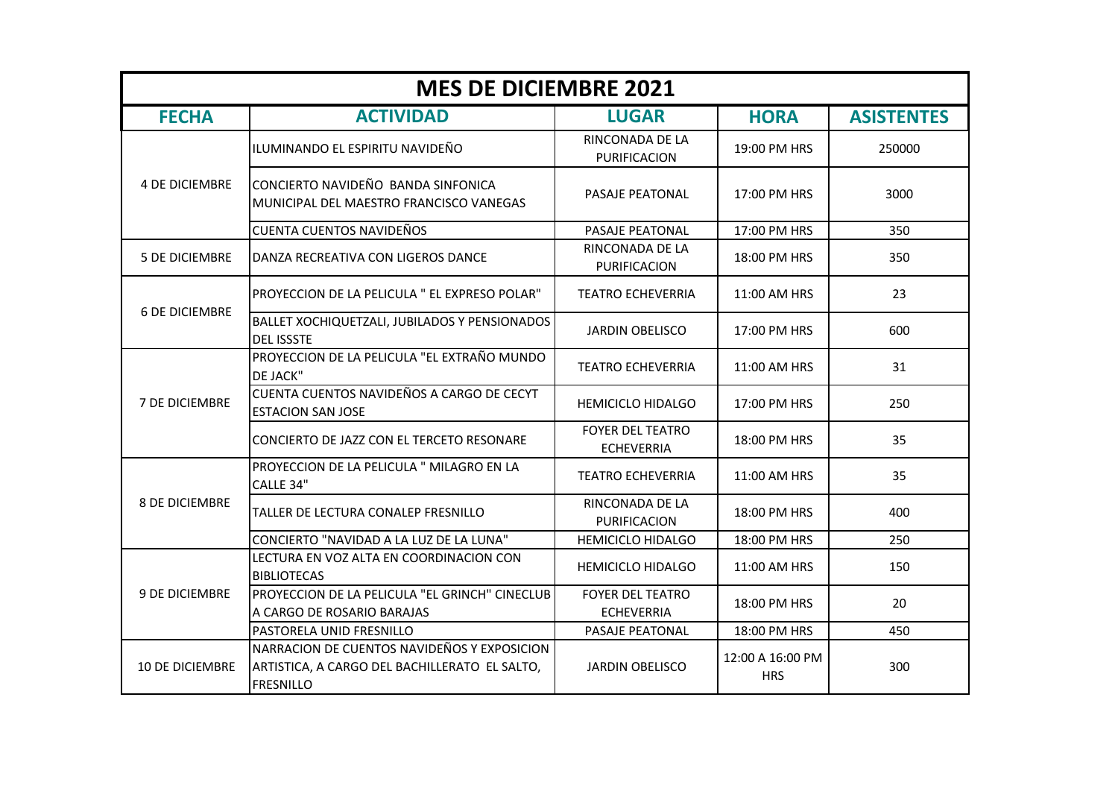| <b>MES DE DICIEMBRE 2021</b> |                                                                                                                  |                                              |                                |                   |
|------------------------------|------------------------------------------------------------------------------------------------------------------|----------------------------------------------|--------------------------------|-------------------|
| <b>FECHA</b>                 | <b>ACTIVIDAD</b>                                                                                                 | <b>LUGAR</b>                                 | <b>HORA</b>                    | <b>ASISTENTES</b> |
|                              | ILUMINANDO EL ESPIRITU NAVIDEÑO                                                                                  | RINCONADA DE LA<br>PURIFICACION              | 19:00 PM HRS                   | 250000            |
| <b>4 DE DICIEMBRE</b>        | CONCIERTO NAVIDEÑO BANDA SINFONICA<br>MUNICIPAL DEL MAESTRO FRANCISCO VANEGAS                                    | PASAJE PEATONAL                              | 17:00 PM HRS                   | 3000              |
|                              | <b>CUENTA CUENTOS NAVIDEÑOS</b>                                                                                  | PASAJE PEATONAL                              | 17:00 PM HRS                   | 350               |
| <b>5 DE DICIEMBRE</b>        | DANZA RECREATIVA CON LIGEROS DANCE                                                                               | RINCONADA DE LA<br>PURIFICACION              | 18:00 PM HRS                   | 350               |
| <b>6 DE DICIEMBRE</b>        | PROYECCION DE LA PELICULA " EL EXPRESO POLAR"                                                                    | <b>TEATRO ECHEVERRIA</b>                     | 11:00 AM HRS                   | 23                |
|                              | BALLET XOCHIQUETZALI, JUBILADOS Y PENSIONADOS<br><b>DEL ISSSTE</b>                                               | <b>JARDIN OBELISCO</b>                       | 17:00 PM HRS                   | 600               |
|                              | PROYECCION DE LA PELICULA "EL EXTRAÑO MUNDO<br>DE JACK"                                                          | <b>TEATRO ECHEVERRIA</b>                     | 11:00 AM HRS                   | 31                |
| <b>7 DE DICIEMBRE</b>        | CUENTA CUENTOS NAVIDEÑOS A CARGO DE CECYT<br><b>ESTACION SAN JOSE</b>                                            | <b>HEMICICLO HIDALGO</b>                     | 17:00 PM HRS                   | 250               |
|                              | CONCIERTO DE JAZZ CON EL TERCETO RESONARE                                                                        | <b>FOYER DEL TEATRO</b><br><b>ECHEVERRIA</b> | 18:00 PM HRS                   | 35                |
|                              | PROYECCION DE LA PELICULA " MILAGRO EN LA<br>CALLE 34"                                                           | <b>TEATRO ECHEVERRIA</b>                     | 11:00 AM HRS                   | 35                |
| <b>8 DE DICIEMBRE</b>        | TALLER DE LECTURA CONALEP FRESNILLO                                                                              | RINCONADA DE LA<br>PURIFICACION              | 18:00 PM HRS                   | 400               |
|                              | CONCIERTO "NAVIDAD A LA LUZ DE LA LUNA"                                                                          | <b>HEMICICLO HIDALGO</b>                     | 18:00 PM HRS                   | 250               |
| 9 DE DICIEMBRE               | LECTURA EN VOZ ALTA EN COORDINACION CON<br><b>BIBLIOTECAS</b>                                                    | <b>HEMICICLO HIDALGO</b>                     | 11:00 AM HRS                   | 150               |
|                              | PROYECCION DE LA PELICULA "EL GRINCH" CINECLUB<br>A CARGO DE ROSARIO BARAJAS                                     | <b>FOYER DEL TEATRO</b><br><b>ECHEVERRIA</b> | 18:00 PM HRS                   | 20                |
|                              | PASTORELA UNID FRESNILLO                                                                                         | PASAJE PEATONAL                              | 18:00 PM HRS                   | 450               |
| <b>10 DE DICIEMBRE</b>       | NARRACION DE CUENTOS NAVIDEÑOS Y EXPOSICION<br>ARTISTICA, A CARGO DEL BACHILLERATO EL SALTO,<br><b>FRESNILLO</b> | <b>JARDIN OBELISCO</b>                       | 12:00 A 16:00 PM<br><b>HRS</b> | 300               |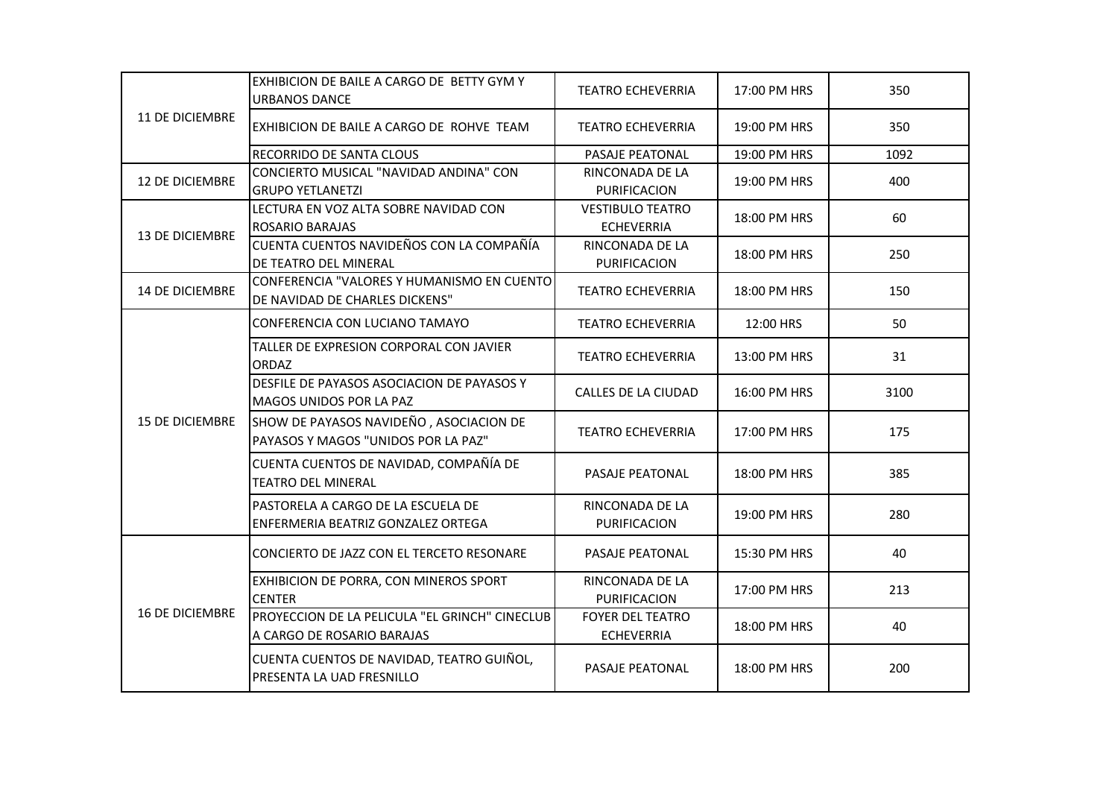|                        | EXHIBICION DE BAILE A CARGO DE BETTY GYM Y<br><b>URBANOS DANCE</b>             | <b>TEATRO ECHEVERRIA</b>                     | 17:00 PM HRS | 350  |
|------------------------|--------------------------------------------------------------------------------|----------------------------------------------|--------------|------|
| 11 DE DICIEMBRE        | EXHIBICION DE BAILE A CARGO DE ROHVE TEAM                                      | <b>TEATRO ECHEVERRIA</b>                     | 19:00 PM HRS | 350  |
|                        | RECORRIDO DE SANTA CLOUS                                                       | PASAJE PEATONAL                              | 19:00 PM HRS | 1092 |
| 12 DE DICIEMBRE        | CONCIERTO MUSICAL "NAVIDAD ANDINA" CON<br><b>GRUPO YETLANETZI</b>              | RINCONADA DE LA<br>PURIFICACION              | 19:00 PM HRS | 400  |
| <b>13 DE DICIEMBRE</b> | LECTURA EN VOZ ALTA SOBRE NAVIDAD CON<br><b>ROSARIO BARAJAS</b>                | <b>VESTIBULO TEATRO</b><br><b>ECHEVERRIA</b> | 18:00 PM HRS | 60   |
|                        | CUENTA CUENTOS NAVIDEÑOS CON LA COMPAÑÍA<br>DE TEATRO DEL MINERAL              | RINCONADA DE LA<br>PURIFICACION              | 18:00 PM HRS | 250  |
| <b>14 DE DICIEMBRE</b> | CONFERENCIA "VALORES Y HUMANISMO EN CUENTO<br>DE NAVIDAD DE CHARLES DICKENS"   | <b>TEATRO ECHEVERRIA</b>                     | 18:00 PM HRS | 150  |
|                        | CONFERENCIA CON LUCIANO TAMAYO                                                 | <b>TEATRO ECHEVERRIA</b>                     | 12:00 HRS    | 50   |
|                        | TALLER DE EXPRESION CORPORAL CON JAVIER<br><b>ORDAZ</b>                        | <b>TEATRO ECHEVERRIA</b>                     | 13:00 PM HRS | 31   |
|                        | DESFILE DE PAYASOS ASOCIACION DE PAYASOS Y<br>MAGOS UNIDOS POR LA PAZ          | <b>CALLES DE LA CIUDAD</b>                   | 16:00 PM HRS | 3100 |
| <b>15 DE DICIEMBRE</b> | SHOW DE PAYASOS NAVIDEÑO, ASOCIACION DE<br>PAYASOS Y MAGOS "UNIDOS POR LA PAZ" | <b>TEATRO ECHEVERRIA</b>                     | 17:00 PM HRS | 175  |
|                        | CUENTA CUENTOS DE NAVIDAD, COMPAÑÍA DE<br><b>TEATRO DEL MINERAL</b>            | PASAJE PEATONAL                              | 18:00 PM HRS | 385  |
|                        | PASTORELA A CARGO DE LA ESCUELA DE<br>ENFERMERIA BEATRIZ GONZALEZ ORTEGA       | RINCONADA DE LA<br><b>PURIFICACION</b>       | 19:00 PM HRS | 280  |
|                        | CONCIERTO DE JAZZ CON EL TERCETO RESONARE                                      | PASAJE PEATONAL                              | 15:30 PM HRS | 40   |
| <b>16 DE DICIEMBRE</b> | EXHIBICION DE PORRA, CON MINEROS SPORT<br><b>CENTER</b>                        | RINCONADA DE LA<br>PURIFICACION              | 17:00 PM HRS | 213  |
|                        | PROYECCION DE LA PELICULA "EL GRINCH" CINECLUB<br>A CARGO DE ROSARIO BARAJAS   | <b>FOYER DEL TEATRO</b><br><b>ECHEVERRIA</b> | 18:00 PM HRS | 40   |
|                        | CUENTA CUENTOS DE NAVIDAD, TEATRO GUIÑOL,<br>PRESENTA LA UAD FRESNILLO         | PASAJE PEATONAL                              | 18:00 PM HRS | 200  |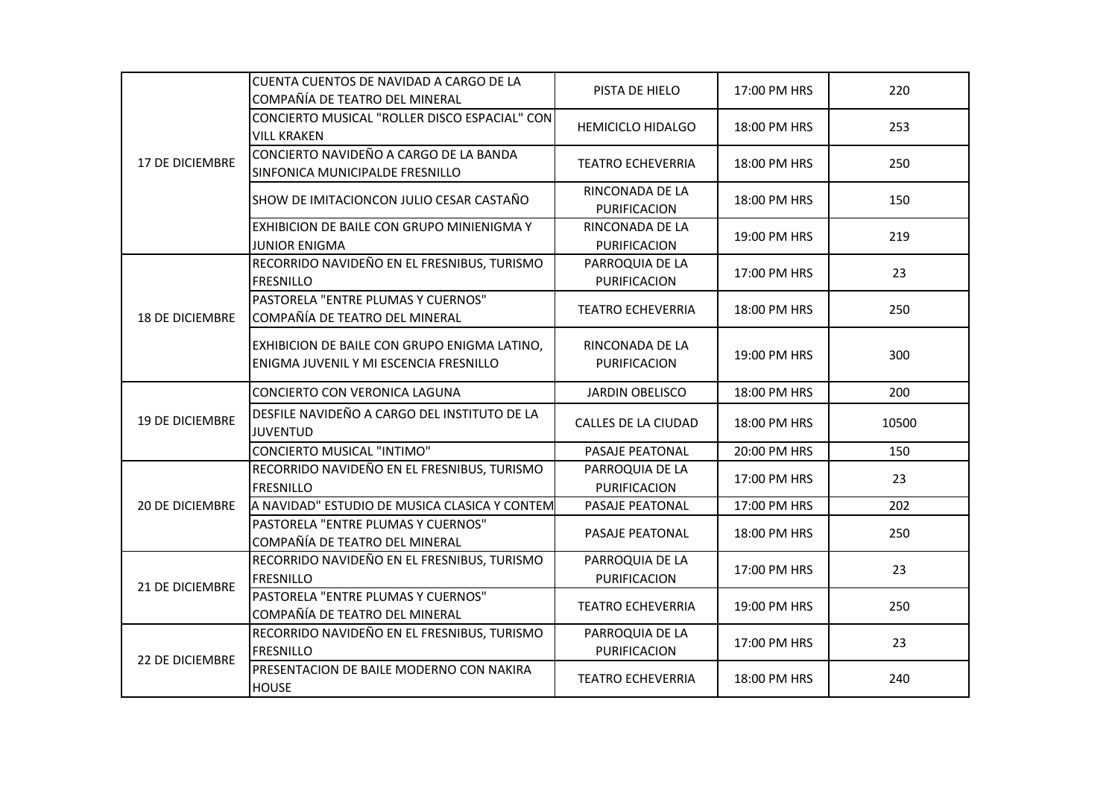|                        | CUENTA CUENTOS DE NAVIDAD A CARGO DE LA<br>COMPAÑÍA DE TEATRO DEL MINERAL              | PISTA DE HIELO                  | 17:00 PM HRS | 220   |
|------------------------|----------------------------------------------------------------------------------------|---------------------------------|--------------|-------|
|                        | CONCIERTO MUSICAL "ROLLER DISCO ESPACIAL" CON<br><b>VILL KRAKEN</b>                    | <b>HEMICICLO HIDALGO</b>        | 18:00 PM HRS | 253   |
| 17 DE DICIEMBRE        | CONCIERTO NAVIDEÑO A CARGO DE LA BANDA<br>SINFONICA MUNICIPALDE FRESNILLO              | <b>TEATRO ECHEVERRIA</b>        | 18:00 PM HRS | 250   |
|                        | SHOW DE IMITACIONCON JULIO CESAR CASTAÑO                                               | RINCONADA DE LA<br>PURIFICACION | 18:00 PM HRS | 150   |
|                        | EXHIBICION DE BAILE CON GRUPO MINIENIGMA Y<br><b>JUNIOR ENIGMA</b>                     | RINCONADA DE LA<br>PURIFICACION | 19:00 PM HRS | 219   |
|                        | RECORRIDO NAVIDEÑO EN EL FRESNIBUS, TURISMO<br><b>FRESNILLO</b>                        | PARROQUIA DE LA<br>PURIFICACION | 17:00 PM HRS | 23    |
| <b>18 DE DICIEMBRE</b> | PASTORELA "ENTRE PLUMAS Y CUERNOS"<br>COMPAÑÍA DE TEATRO DEL MINERAL                   | <b>TEATRO ECHEVERRIA</b>        | 18:00 PM HRS | 250   |
|                        | EXHIBICION DE BAILE CON GRUPO ENIGMA LATINO,<br>ENIGMA JUVENIL Y MI ESCENCIA FRESNILLO | RINCONADA DE LA<br>PURIFICACION | 19:00 PM HRS | 300   |
|                        | CONCIERTO CON VERONICA LAGUNA                                                          | <b>JARDIN OBELISCO</b>          | 18:00 PM HRS | 200   |
| <b>19 DE DICIEMBRE</b> | DESFILE NAVIDEÑO A CARGO DEL INSTITUTO DE LA<br><b>JUVENTUD</b>                        | CALLES DE LA CIUDAD             | 18:00 PM HRS | 10500 |
|                        | <b>CONCIERTO MUSICAL "INTIMO"</b>                                                      | PASAJE PEATONAL                 | 20:00 PM HRS | 150   |
|                        | RECORRIDO NAVIDEÑO EN EL FRESNIBUS, TURISMO<br><b>FRESNILLO</b>                        | PARROQUIA DE LA<br>PURIFICACION | 17:00 PM HRS | 23    |
| 20 DE DICIEMBRE        | A NAVIDAD" ESTUDIO DE MUSICA CLASICA Y CONTEM                                          | PASAJE PEATONAL                 | 17:00 PM HRS | 202   |
|                        | PASTORELA "ENTRE PLUMAS Y CUERNOS"<br>COMPAÑÍA DE TEATRO DEL MINERAL                   | PASAJE PEATONAL                 | 18:00 PM HRS | 250   |
| 21 DE DICIEMBRE        | RECORRIDO NAVIDEÑO EN EL FRESNIBUS, TURISMO<br><b>FRESNILLO</b>                        | PARROQUIA DE LA<br>PURIFICACION | 17:00 PM HRS | 23    |
|                        | PASTORELA "ENTRE PLUMAS Y CUERNOS"<br>COMPAÑÍA DE TEATRO DEL MINERAL                   | <b>TEATRO ECHEVERRIA</b>        | 19:00 PM HRS | 250   |
|                        | RECORRIDO NAVIDEÑO EN EL FRESNIBUS, TURISMO<br><b>FRESNILLO</b>                        | PARROQUIA DE LA<br>PURIFICACION | 17:00 PM HRS | 23    |
| 22 DE DICIEMBRE        | PRESENTACION DE BAILE MODERNO CON NAKIRA<br><b>HOUSE</b>                               | <b>TEATRO ECHEVERRIA</b>        | 18:00 PM HRS | 240   |